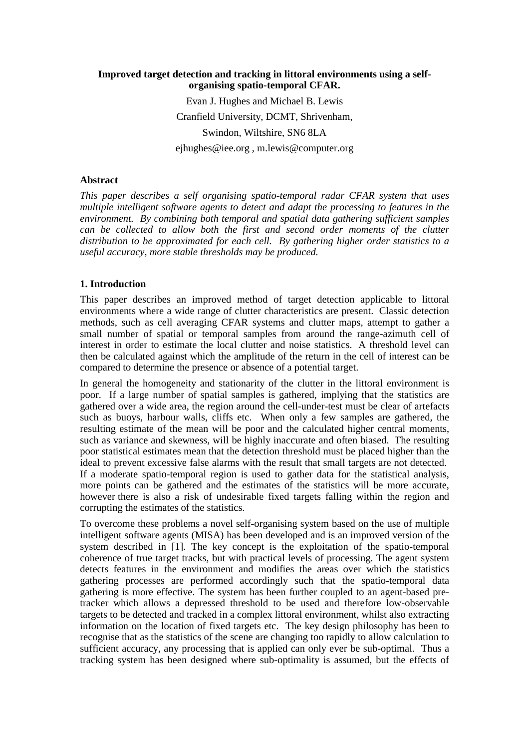# **Improved target detection and tracking in littoral environments using a selforganising spatio-temporal CFAR.**

Evan J. Hughes and Michael B. Lewis Cranfield University, DCMT, Shrivenham, Swindon, Wiltshire, SN6 8LA ejhughes@iee.org , m.lewis@computer.org

## **Abstract**

*This paper describes a self organising spatio-temporal radar CFAR system that uses multiple intelligent software agents to detect and adapt the processing to features in the environment. By combining both temporal and spatial data gathering sufficient samples can be collected to allow both the first and second order moments of the clutter distribution to be approximated for each cell. By gathering higher order statistics to a useful accuracy, more stable thresholds may be produced.*

## **1. Introduction**

This paper describes an improved method of target detection applicable to littoral environments where a wide range of clutter characteristics are present. Classic detection methods, such as cell averaging CFAR systems and clutter maps, attempt to gather a small number of spatial or temporal samples from around the range-azimuth cell of interest in order to estimate the local clutter and noise statistics. A threshold level can then be calculated against which the amplitude of the return in the cell of interest can be compared to determine the presence or absence of a potential target.

In general the homogeneity and stationarity of the clutter in the littoral environment is poor. If a large number of spatial samples is gathered, implying that the statistics are gathered over a wide area, the region around the cell-under-test must be clear of artefacts such as buoys, harbour walls, cliffs etc. When only a few samples are gathered, the resulting estimate of the mean will be poor and the calculated higher central moments, such as variance and skewness, will be highly inaccurate and often biased. The resulting poor statistical estimates mean that the detection threshold must be placed higher than the ideal to prevent excessive false alarms with the result that small targets are not detected. If a moderate spatio-temporal region is used to gather data for the statistical analysis, more points can be gathered and the estimates of the statistics will be more accurate, however there is also a risk of undesirable fixed targets falling within the region and corrupting the estimates of the statistics.

To overcome these problems a novel self-organising system based on the use of multiple intelligent software agents (MISA) has been developed and is an improved version of the system described in [1]. The key concept is the exploitation of the spatio-temporal coherence of true target tracks, but with practical levels of processing. The agent system detects features in the environment and modifies the areas over which the statistics gathering processes are performed accordingly such that the spatio-temporal data gathering is more effective. The system has been further coupled to an agent-based pretracker which allows a depressed threshold to be used and therefore low-observable targets to be detected and tracked in a complex littoral environment, whilst also extracting information on the location of fixed targets etc. The key design philosophy has been to recognise that as the statistics of the scene are changing too rapidly to allow calculation to sufficient accuracy, any processing that is applied can only ever be sub-optimal. Thus a tracking system has been designed where sub-optimality is assumed, but the effects of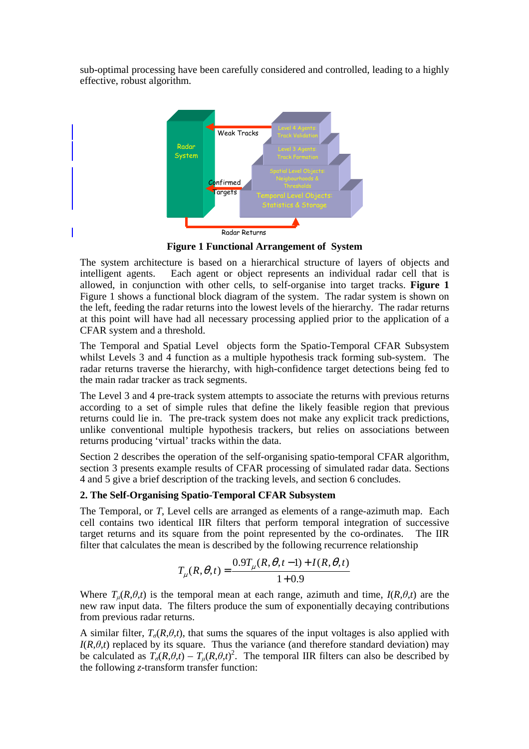sub-optimal processing have been carefully considered and controlled, leading to a highly effective, robust algorithm.



**Figure 1 Functional Arrangement of System** 

The system architecture is based on a hierarchical structure of layers of objects and intelligent agents. Each agent or object represents an individual radar cell that is allowed, in conjunction with other cells, to self-organise into target tracks. **Figure 1** Figure 1 shows a functional block diagram of the system. The radar system is shown on the left, feeding the radar returns into the lowest levels of the hierarchy. The radar returns at this point will have had all necessary processing applied prior to the application of a CFAR system and a threshold.

The Temporal and Spatial Level objects form the Spatio-Temporal CFAR Subsystem whilst Levels 3 and 4 function as a multiple hypothesis track forming sub-system. The radar returns traverse the hierarchy, with high-confidence target detections being fed to the main radar tracker as track segments.

The Level 3 and 4 pre-track system attempts to associate the returns with previous returns according to a set of simple rules that define the likely feasible region that previous returns could lie in. The pre-track system does not make any explicit track predictions, unlike conventional multiple hypothesis trackers, but relies on associations between returns producing 'virtual' tracks within the data.

Section 2 describes the operation of the self-organising spatio-temporal CFAR algorithm, section 3 presents example results of CFAR processing of simulated radar data. Sections 4 and 5 give a brief description of the tracking levels, and section 6 concludes.

# **2. The Self-Organising Spatio-Temporal CFAR Subsystem**

The Temporal, or *T*, Level cells are arranged as elements of a range-azimuth map. Each cell contains two identical IIR filters that perform temporal integration of successive target returns and its square from the point represented by the co-ordinates. The IIR filter that calculates the mean is described by the following recurrence relationship

$$
T_{\mu}(R,\theta,t) = \frac{0.9T_{\mu}(R,\theta,t-1) + I(R,\theta,t)}{1+0.9}
$$

Where  $T_{\mu}(R,\theta,t)$  is the temporal mean at each range, azimuth and time,  $I(R,\theta,t)$  are the new raw input data. The filters produce the sum of exponentially decaying contributions from previous radar returns.

A similar filter,  $T_{\sigma}(R,\theta,t)$ , that sums the squares of the input voltages is also applied with  $I(R, \theta, t)$  replaced by its square. Thus the variance (and therefore standard deviation) may be calculated as  $T_{\sigma}(R,\theta,t) - T_{\mu}(R,\theta,t)^2$ . The temporal IIR filters can also be described by the following *z*-transform transfer function: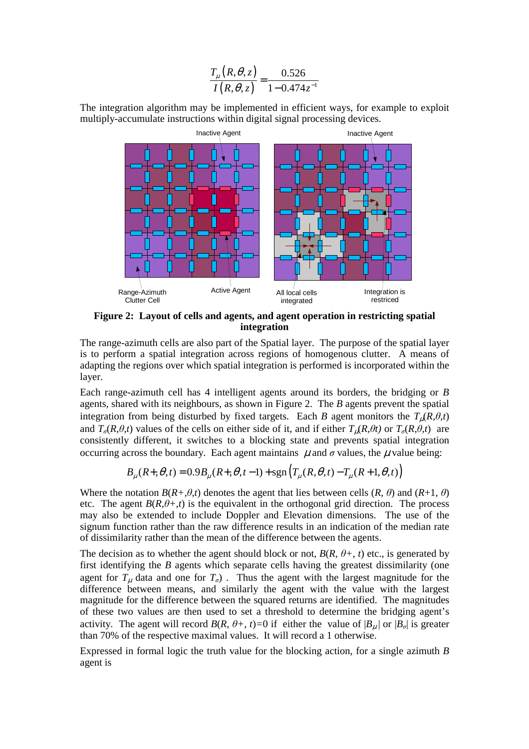$$
\frac{T_{\mu}(R,\theta,z)}{I(R,\theta,z)} = \frac{0.526}{1 - 0.474z^{-1}}
$$

The integration algorithm may be implemented in efficient ways, for example to exploit multiply-accumulate instructions within digital signal processing devices.



**Figure 2: Layout of cells and agents, and agent operation in restricting spatial integration** 

The range-azimuth cells are also part of the Spatial layer. The purpose of the spatial layer is to perform a spatial integration across regions of homogenous clutter. A means of adapting the regions over which spatial integration is performed is incorporated within the layer.

Each range-azimuth cell has 4 intelligent agents around its borders, the bridging or *B* agents, shared with its neighbours, as shown in Figure 2. The *B* agents prevent the spatial integration from being disturbed by fixed targets. Each *B* agent monitors the  $T_{\mu}(R,\theta,t)$ and  $T_{\sigma}(R,\theta,t)$  values of the cells on either side of it, and if either  $T_{\nu}(R,\theta t)$  or  $T_{\sigma}(R,\theta,t)$  are consistently different, it switches to a blocking state and prevents spatial integration occurring across the boundary. Each agent maintains  $\mu$  and  $\sigma$  values, the  $\mu$  value being:

$$
B_{\mu}(R+,\theta,t) = 0.9B_{\mu}(R+,\theta,t-1) + sgn(T_{\mu}(R,\theta,t) - T_{\mu}(R+1,\theta,t))
$$

Where the notation  $B(R+\theta,t)$  denotes the agent that lies between cells  $(R, \theta)$  and  $(R+1, \theta)$ etc. The agent  $B(R, \theta + t)$  is the equivalent in the orthogonal grid direction. The process may also be extended to include Doppler and Elevation dimensions. The use of the signum function rather than the raw difference results in an indication of the median rate of dissimilarity rather than the mean of the difference between the agents.

The decision as to whether the agent should block or not,  $B(R, \theta +, t)$  etc., is generated by first identifying the *B* agents which separate cells having the greatest dissimilarity (one agent for  $T_{\mu}$  data and one for  $T_{\sigma}$ ). Thus the agent with the largest magnitude for the difference between means, and similarly the agent with the value with the largest magnitude for the difference between the squared returns are identified. The magnitudes of these two values are then used to set a threshold to determine the bridging agent's activity. The agent will record  $B(R, \theta +, t) = 0$  if either the value of  $|B_{\mu}|$  or  $|B_{\sigma}|$  is greater than 70% of the respective maximal values. It will record a 1 otherwise.

Expressed in formal logic the truth value for the blocking action, for a single azimuth *B* agent is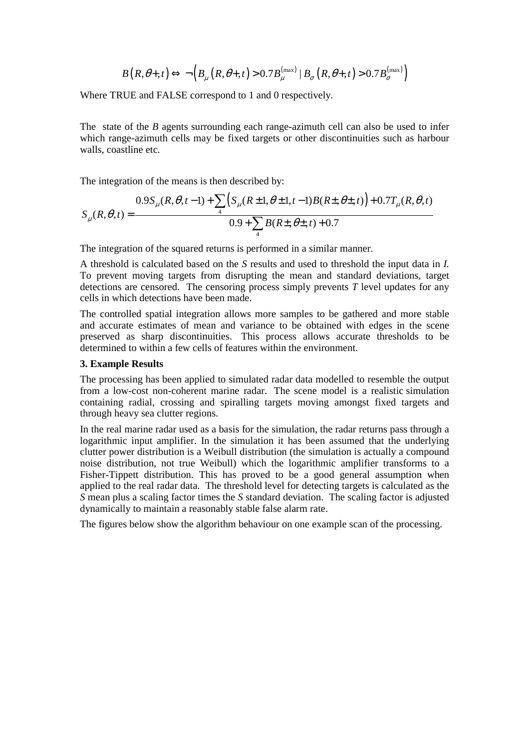$$
B\left(R,\theta_+,t\right) \Longleftrightarrow \neg\Big(B_{\mu}\left(R,\theta_+,t\right) > 0.7B_{\mu}^{\left(\max\right)} \mid B_{\sigma}\left(R,\theta_+,t\right) > 0.7B_{\sigma}^{\left(\max\right)}\Big)
$$

Where TRUE and FALSE correspond to 1 and 0 respectively.

The state of the *B* agents surrounding each range-azimuth cell can also be used to infer which range-azimuth cells may be fixed targets or other discontinuities such as harbour walls, coastline etc.

The integration of the means is then described by:

$$
S_{\mu}(R,\theta,t) = \frac{0.9S_{\mu}(R,\theta,t-1) + \sum_{4} \left( S_{\mu}(R \pm 1,\theta \pm 1,t-1)B(R \pm, \theta \pm, t) \right) + 0.7T_{\mu}(R,\theta,t)}{0.9 + \sum_{4} B(R \pm, \theta \pm, t) + 0.7}
$$

The integration of the squared returns is performed in a similar manner.

A threshold is calculated based on the *S* results and used to threshold the input data in *I.* To prevent moving targets from disrupting the mean and standard deviations, target detections are censored. The censoring process simply prevents *T* level updates for any cells in which detections have been made.

The controlled spatial integration allows more samples to be gathered and more stable and accurate estimates of mean and variance to be obtained with edges in the scene preserved as sharp discontinuities. This process allows accurate thresholds to be determined to within a few cells of features within the environment.

#### **3. Example Results**

The processing has been applied to simulated radar data modelled to resemble the output from a low-cost non-coherent marine radar. The scene model is a realistic simulation containing radial, crossing and spiralling targets moving amongst fixed targets and through heavy sea clutter regions.

In the real marine radar used as a basis for the simulation, the radar returns pass through a logarithmic input amplifier. In the simulation it has been assumed that the underlying clutter power distribution is a Weibull distribution (the simulation is actually a compound noise distribution, not true Weibull) which the logarithmic amplifier transforms to a Fisher-Tippett distribution. This has proved to be a good general assumption when applied to the real radar data. The threshold level for detecting targets is calculated as the *S* mean plus a scaling factor times the *S* standard deviation. The scaling factor is adjusted dynamically to maintain a reasonably stable false alarm rate.

The figures below show the algorithm behaviour on one example scan of the processing.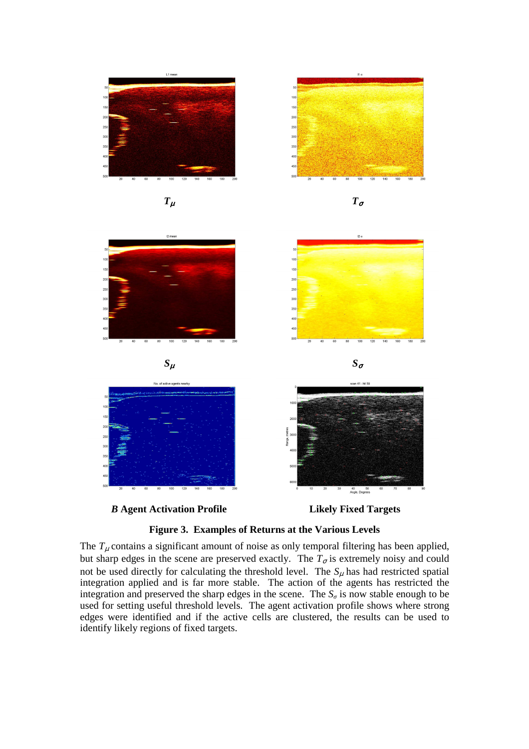







The  $T_{\mu}$  contains a significant amount of noise as only temporal filtering has been applied, but sharp edges in the scene are preserved exactly. The  $T_{\sigma}$  is extremely noisy and could not be used directly for calculating the threshold level. The  $S_{\mu}$  has had restricted spatial integration applied and is far more stable. The action of the agents has restricted the integration and preserved the sharp edges in the scene. The  $S_{\sigma}$  is now stable enough to be used for setting useful threshold levels. The agent activation profile shows where strong edges were identified and if the active cells are clustered, the results can be used to identify likely regions of fixed targets.